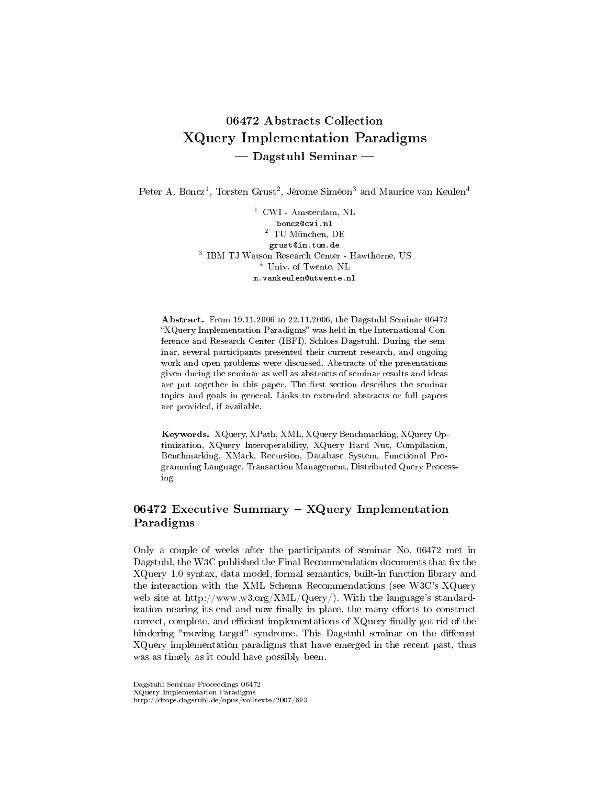# 06472 Abstracts Collection XQuery Implementation Paradigms  $-$  Dagstuhl Seminar  $-$

Peter A. Boncz<sup>1</sup>, Torsten Grust<sup>2</sup>, Jérome Siméon<sup>3</sup> and Maurice van Keulen<sup>4</sup>

 $1$  CWI - Amsterdam, NL boncz@cwi.nl  $^2\,$  TU München, DE grust@in.tum.de 3 IBM TJ Watson Research Center - Hawthorne, US <sup>4</sup> Univ. of Twente, NL m.vankeulen@utwente.nl

Abstract. From 19.11.2006 to 22.11.2006, the Dagstuhl Seminar 06472 "XQuery Implementation Paradigms" was held in the International Conference and Research Center (IBFI), Schloss Dagstuhl. During the seminar, several participants presented their current research, and ongoing work and open problems were discussed. Abstracts of the presentations given during the seminar as well as abstracts of seminar results and ideas are put together in this paper. The first section describes the seminar topics and goals in general. Links to extended abstracts or full papers are provided, if available.

Keywords. XQuery, XPath, XML, XQuery Benchmarking, XQuery Optimization, XQuery Interoperability, XQuery Hard Nut, Compilation, Benchmarking, XMark, Recursion, Database System, Functional Programming Language, Transaction Management, Distributed Query Processing

# 06472 Executive Summary  $-$  XQuery Implementation Paradigms

Only a couple of weeks after the participants of seminar No. 06472 met in Dagstuhl, the W3C published the Final Recommendation documents that fix the XQuery 1.0 syntax, data model, formal semantics, built-in function library and the interaction with the XML Schema Recommendations (see W3C's XQuery web site at http://www.w3.org/XML/Query/). With the language's standardization nearing its end and now finally in place, the many efforts to construct correct, complete, and efficient implementations of XQuery finally got rid of the hindering "moving target" syndrome. This Dagstuhl seminar on the different XQuery implementation paradigms that have emerged in the recent past, thus was as timely as it could have possibly been.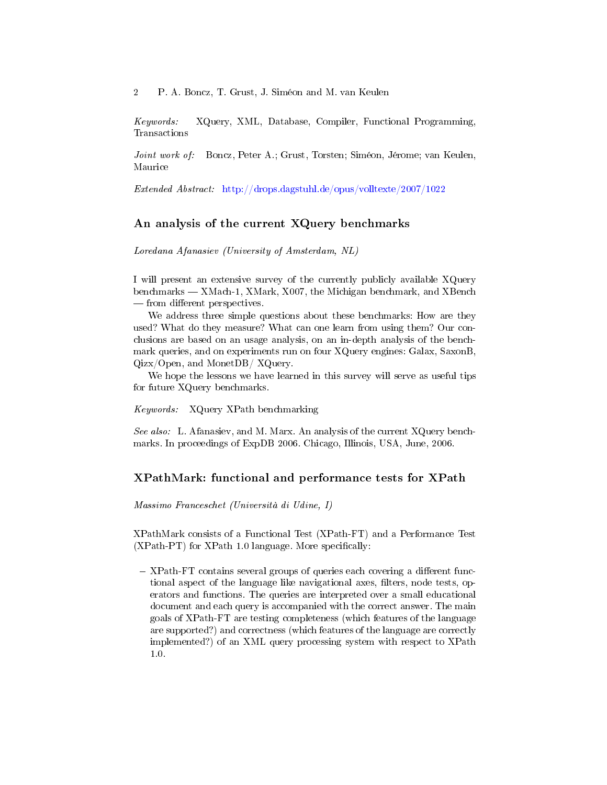Keywords: XQuery, XML, Database, Compiler, Functional Programming, Transactions

Joint work of: Boncz, Peter A.; Grust, Torsten; Siméon, Jérome; van Keulen, Maurice

Extended Abstract: <http://drops.dagstuhl.de/opus/volltexte/2007/1022>

# An analysis of the current XQuery benchmarks

Loredana Afanasiev (University of Amsterdam, NL)

I will present an extensive survey of the currently publicly available XQuery benchmarks – XMach-1, XMark, X007, the Michigan benchmark, and XBench — from different perspectives.

We address three simple questions about these benchmarks: How are they used? What do they measure? What can one learn from using them? Our conclusions are based on an usage analysis, on an in-depth analysis of the benchmark queries, and on experiments run on four XQuery engines: Galax, SaxonB, Qizx/Open, and MonetDB/ XQuery.

We hope the lessons we have learned in this survey will serve as useful tips for future XQuery benchmarks.

Keywords: XQuery XPath benchmarking

See also: L. Afanasiev, and M. Marx. An analysis of the current XQuery benchmarks. In proceedings of ExpDB 2006. Chicago, Illinois, USA, June, 2006.

# XPathMark: functional and performance tests for XPath

Massimo Franceschet (Università di Udine, I)

XPathMark consists of a Functional Test (XPath-FT) and a Performance Test  $(XPath-PT)$  for  $XPath 1.0$  language. More specifically:

 $-$  XPath-FT contains several groups of queries each covering a different functional aspect of the language like navigational axes, filters, node tests, operators and functions. The queries are interpreted over a small educational document and each query is accompanied with the correct answer. The main goals of XPath-FT are testing completeness (which features of the language are supported?) and correctness (which features of the language are correctly implemented?) of an XML query processing system with respect to XPath 1.0.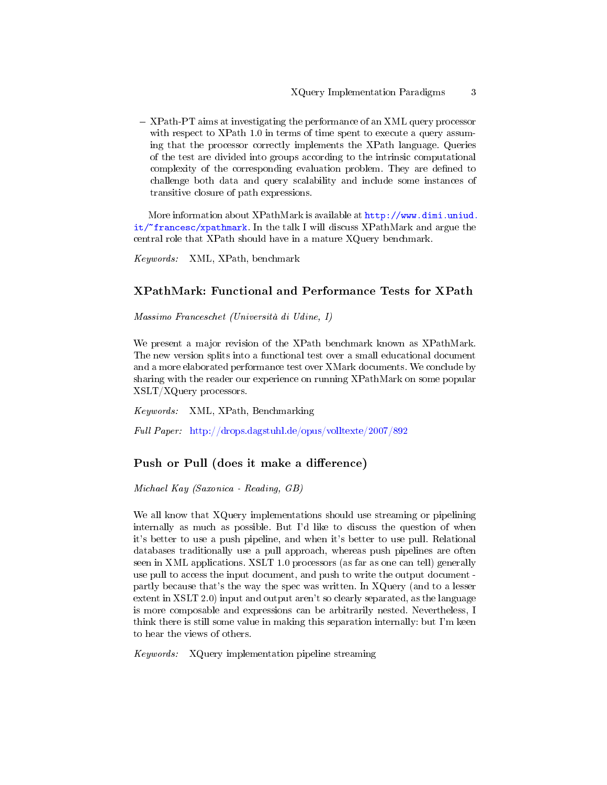XPath-PT aims at investigating the performance of an XML query processor with respect to XPath 1.0 in terms of time spent to execute a query assuming that the processor correctly implements the XPath language. Queries of the test are divided into groups according to the intrinsic computational complexity of the corresponding evaluation problem. They are defined to challenge both data and query scalability and include some instances of transitive closure of path expressions.

More information about XPathMark is available at [http://www.dimi.uniud.](http://www.dimi.uniud.it/~francesc/xpathmark) [it/~francesc/xpathmark.](http://www.dimi.uniud.it/~francesc/xpathmark) In the talk I will discuss XPathMark and argue the central role that XPath should have in a mature XQuery benchmark.

Keywords: XML, XPath, benchmark

# XPathMark: Functional and Performance Tests for XPath

Massimo Franceschet (Università di Udine, I)

We present a major revision of the XPath benchmark known as XPathMark. The new version splits into a functional test over a small educational document and a more elaborated performance test over XMark documents. We conclude by sharing with the reader our experience on running XPathMark on some popular XSLT/XQuery processors.

Keywords: XML, XPath, Benchmarking

Full Paper: <http://drops.dagstuhl.de/opus/volltexte/2007/892>

# Push or Pull (does it make a difference)

Michael Kay (Saxonica - Reading, GB)

We all know that XQuery implementations should use streaming or pipelining internally as much as possible. But I'd like to discuss the question of when it's better to use a push pipeline, and when it's better to use pull. Relational databases traditionally use a pull approach, whereas push pipelines are often seen in XML applications. XSLT 1.0 processors (as far as one can tell) generally use pull to access the input document, and push to write the output document partly because that's the way the spec was written. In XQuery (and to a lesser extent in XSLT 2.0) input and output aren't so clearly separated, as the language is more composable and expressions can be arbitrarily nested. Nevertheless, I think there is still some value in making this separation internally: but I'm keen to hear the views of others.

Keywords: XQuery implementation pipeline streaming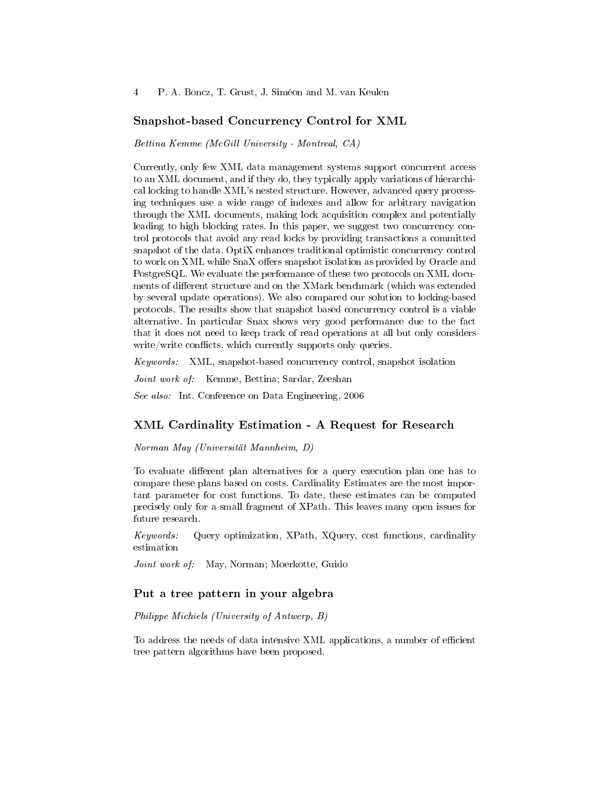#### Snapshot-based Concurrency Control for XML

Bettina Kemme (McGill University - Montreal, CA)

Currently, only few XML data management systems support concurrent access to an XML document, and if they do, they typically apply variations of hierarchical locking to handle XML's nested structure. However, advanced query processing techniques use a wide range of indexes and allow for arbitrary navigation through the XML documents, making lock acquisition complex and potentially leading to high blocking rates. In this paper, we suggest two concurrency control protocols that avoid any read locks by providing transactions a committed snapshot of the data. OptiX enhances traditional optimistic concurrency control to work on XML while SnaX offers snapshot isolation as provided by Oracle and PostgreSQL. We evaluate the performance of these two protocols on XML documents of different structure and on the XMark benchmark (which was extended by several update operations). We also compared our solution to locking-based protocols. The results show that snapshot based concurrency control is a viable alternative. In particular Snax shows very good performance due to the fact that it does not need to keep track of read operations at all but only considers  $write/write$  conflicts. which currently supports only queries.

Keywords: XML, snapshot-based concurrency control, snapshot isolation

Joint work of: Kemme, Bettina; Sardar, Zeeshan

See also: Int. Conference on Data Engineering, 2006

### XML Cardinality Estimation - A Request for Research

Norman May (Universität Mannheim, D)

To evaluate different plan alternatives for a query execution plan one has to compare these plans based on costs. Cardinality Estimates are the most important parameter for cost functions. To date, these estimates can be computed precisely only for a small fragment of XPath. This leaves many open issues for future research.

Keywords: Query optimization, XPath, XQuery, cost functions, cardinality estimation

Joint work of: May, Norman; Moerkotte, Guido

# Put a tree pattern in your algebra

Philippe Michiels (University of Antwerp, B)

To address the needs of data intensive XML applications, a number of efficient tree pattern algorithms have been proposed.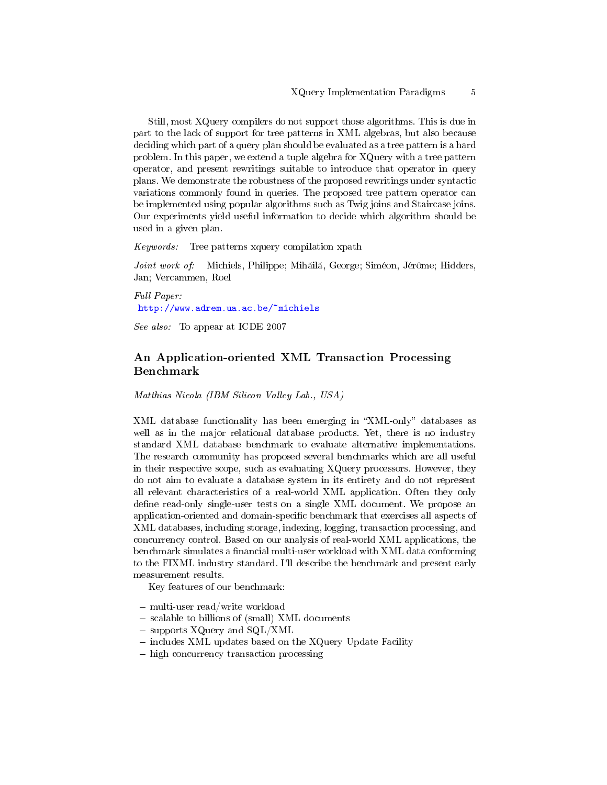Still, most XQuery compilers do not support those algorithms. This is due in part to the lack of support for tree patterns in XML algebras, but also because deciding which part of a query plan should be evaluated as a tree pattern is a hard problem. In this paper, we extend a tuple algebra for XQuery with a tree pattern operator, and present rewritings suitable to introduce that operator in query plans. We demonstrate the robustness of the proposed rewritings under syntactic variations commonly found in queries. The proposed tree pattern operator can be implemented using popular algorithms such as Twig joins and Staircase joins. Our experiments yield useful information to decide which algorithm should be used in a given plan.

Keywords: Tree patterns xquery compilation xpath

Joint work of: Michiels, Philippe; Mihăilă, George; Siméon, Jérôme; Hidders, Jan; Vercammen, Roel

Full Paper: <http://www.adrem.ua.ac.be/~michiels>

See also: To appear at ICDE 2007

# An Application-oriented XML Transaction Processing Benchmark

Matthias Nicola (IBM Silicon Valley Lab., USA)

XML database functionality has been emerging in "XML-only" databases as well as in the major relational database products. Yet, there is no industry standard XML database benchmark to evaluate alternative implementations. The research community has proposed several benchmarks which are all useful in their respective scope, such as evaluating XQuery processors. However, they do not aim to evaluate a database system in its entirety and do not represent all relevant characteristics of a real-world XML application. Often they only define read-only single-user tests on a single XML document. We propose an application-oriented and domain-specific benchmark that exercises all aspects of XML databases, including storage, indexing, logging, transaction processing, and concurrency control. Based on our analysis of real-world XML applications, the benchmark simulates a financial multi-user workload with XML data conforming to the FIXML industry standard. I'll describe the benchmark and present early measurement results.

Key features of our benchmark:

- multi-user read/write workload
- scalable to billions of (small) XML documents
- supports XQuery and SQL/XML
- includes XML updates based on the XQuery Update Facility
- high concurrency transaction processing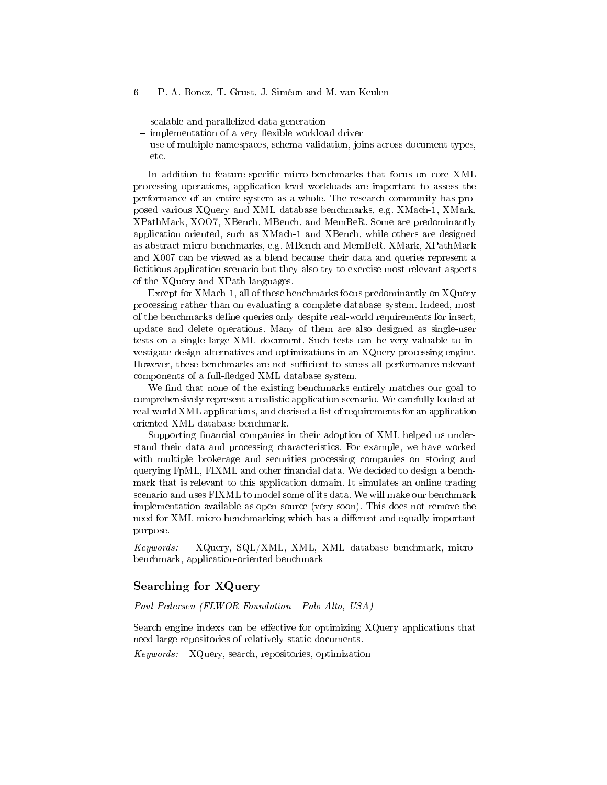- scalable and parallelized data generation
- $\overline{\phantom{a}}$  implementation of a very flexible workload driver
- use of multiple namespaces, schema validation, joins across document types, etc.

In addition to feature-specific micro-benchmarks that focus on core XML processing operations, application-level workloads are important to assess the performance of an entire system as a whole. The research community has proposed various XQuery and XML database benchmarks, e.g. XMach-1, XMark, XPathMark, XOO7, XBench, MBench, and MemBeR. Some are predominantly application oriented, such as XMach-1 and XBench, while others are designed as abstract micro-benchmarks, e.g. MBench and MemBeR. XMark, XPathMark and X007 can be viewed as a blend because their data and queries represent a fictitious application scenario but they also try to exercise most relevant aspects of the XQuery and XPath languages.

Except for XMach-1, all of these benchmarks focus predominantly on XQuery processing rather than on evaluating a complete database system. Indeed, most of the benchmarks define queries only despite real-world requirements for insert, update and delete operations. Many of them are also designed as single-user tests on a single large XML document. Such tests can be very valuable to investigate design alternatives and optimizations in an XQuery processing engine. However, these benchmarks are not sufficient to stress all performance-relevant components of a full-fledged XML database system.

We find that none of the existing benchmarks entirely matches our goal to comprehensively represent a realistic application scenario. We carefully looked at real-world XML applications, and devised a list of requirements for an applicationoriented XML database benchmark.

Supporting financial companies in their adoption of XML helped us understand their data and processing characteristics. For example, we have worked with multiple brokerage and securities processing companies on storing and querying FpML, FIXML and other financial data. We decided to design a benchmark that is relevant to this application domain. It simulates an online trading scenario and uses FIXML to model some of its data. We will make our benchmark implementation available as open source (very soon). This does not remove the need for XML micro-benchmarking which has a different and equally important purpose.

Keywords: XQuery, SQL/XML, XML, XML database benchmark, microbenchmark, application-oriented benchmark

# Searching for XQuery

Paul Pedersen (FLWOR Foundation - Palo Alto, USA)

Search engine indexs can be effective for optimizing  $XQuery$  applications that need large repositories of relatively static documents.

Keywords: XQuery, search, repositories, optimization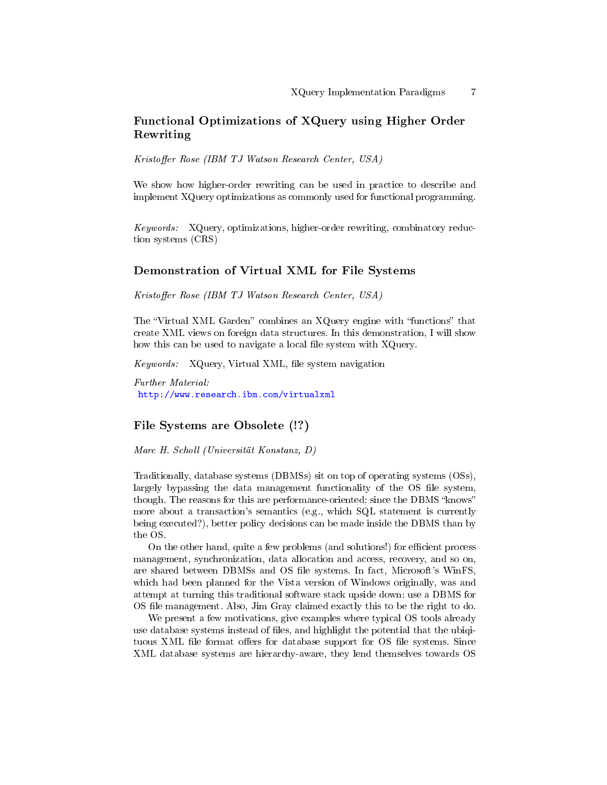# Functional Optimizations of XQuery using Higher Order Rewriting

Kristoffer Rose (IBM TJ Watson Research Center, USA)

We show how higher-order rewriting can be used in practice to describe and implement XQuery optimizations as commonly used for functional programming.

Keywords: XQuery, optimizations, higher-order rewriting, combinatory reduction systems (CRS)

### Demonstration of Virtual XML for File Systems

Kristoffer Rose (IBM TJ Watson Research Center, USA)

The "Virtual XML Garden" combines an XQuery engine with "functions" that create XML views on foreign data structures. In this demonstration, I will show how this can be used to navigate a local file system with XQuery.

Keywords: XQuery, Virtual XML, file system navigation

Further Material: <http://www.research.ibm.com/virtualxml>

#### File Systems are Obsolete (!?)

Marc H. Scholl (Universität Konstanz, D)

Traditionally, database systems (DBMSs) sit on top of operating systems (OSs), largely bypassing the data management functionality of the OS file system, though. The reasons for this are performance-oriented: since the DBMS "knows" more about a transaction's semantics (e.g., which SQL statement is currently being executed?), better policy decisions can be made inside the DBMS than by the OS.

On the other hand, quite a few problems (and solutions!) for efficient process management, synchronization, data allocation and access, recovery, and so on, are shared between DBMSs and OS file systems. In fact, Microsoft's WinFS. which had been planned for the Vista version of Windows originally, was and attempt at turning this traditional software stack upside down: use a DBMS for OS file management. Also, Jim Gray claimed exactly this to be the right to do.

We present a few motivations, give examples where typical OS tools already use database systems instead of files, and highlight the potential that the ubiqtuous XML file format offers for database support for OS file systems. Since XML database systems are hierarchy-aware, they lend themselves towards OS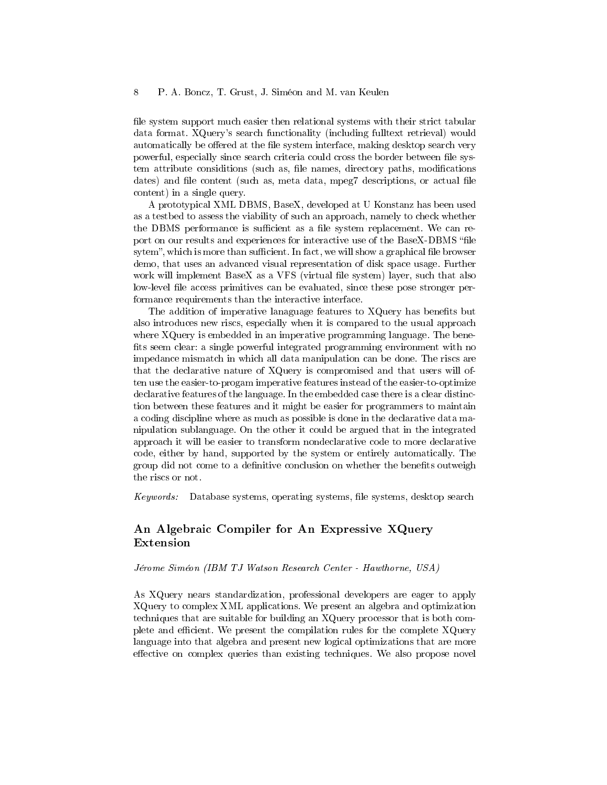file system support much easier then relational systems with their strict tabular data format. XQuery's search functionality (including fulltext retrieval) would automatically be offered at the file system interface, making desktop search very powerful, especially since search criteria could cross the border between file system attribute considitions (such as, file names, directory paths, modifications dates) and file content (such as, meta data, mpeg7 descriptions, or actual file content) in a single query.

A prototypical XML DBMS, BaseX, developed at U Konstanz has been used as a testbed to assess the viability of such an approach, namely to check whether the DBMS performance is sufficient as a file system replacement. We can report on our results and experiences for interactive use of the BaseX-DBMS "file sytem", which is more than sufficient. In fact, we will show a graphical file browser demo, that uses an advanced visual representation of disk space usage. Further work will implement BaseX as a VFS (virtual file system) layer, such that also low-level file access primitives can be evaluated, since these pose stronger performance requirements than the interactive interface.

The addition of imperative lanaguage features to XQuery has benefits but also introduces new riscs, especially when it is compared to the usual approach where XQuery is embedded in an imperative programming language. The bene fits seem clear: a single powerful integrated programming environment with no impedance mismatch in which all data manipulation can be done. The riscs are that the declarative nature of XQuery is compromised and that users will often use the easier-to-progam imperative features instead of the easier-to-optimize declarative features of the language. In the embedded case there is a clear distinction between these features and it might be easier for programmers to maintain a coding discipline where as much as possible is done in the declarative data manipulation sublanguage. On the other it could be argued that in the integrated approach it will be easier to transform nondeclarative code to more declarative code, either by hand, supported by the system or entirely automatically. The group did not come to a definitive conclusion on whether the benefits outweight the riscs or not.

Keywords: Database systems, operating systems, le systems, desktop search

# An Algebraic Compiler for An Expressive XQuery Extension

Jérome Siméon (IBM TJ Watson Research Center - Hawthorne, USA)

As XQuery nears standardization, professional developers are eager to apply XQuery to complex XML applications. We present an algebra and optimization techniques that are suitable for building an XQuery processor that is both complete and efficient. We present the compilation rules for the complete XQuery language into that algebra and present new logical optimizations that are more effective on complex queries than existing techniques. We also propose novel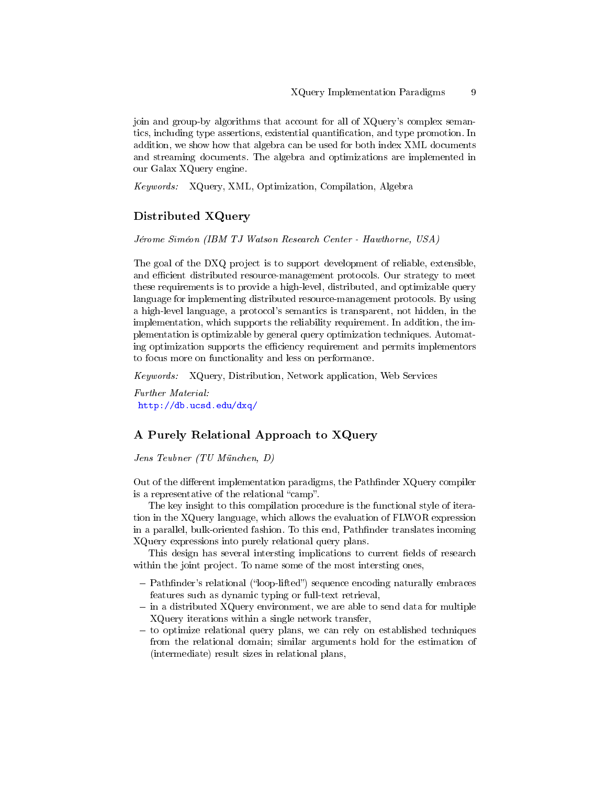join and group-by algorithms that account for all of XQuery's complex semantics, including type assertions, existential quantification, and type promotion. In addition, we show how that algebra can be used for both index XML documents and streaming documents. The algebra and optimizations are implemented in our Galax XQuery engine.

Keywords: XQuery, XML, Optimization, Compilation, Algebra

### Distributed XQuery

Jérome Siméon (IBM TJ Watson Research Center - Hawthorne, USA)

The goal of the DXQ project is to support development of reliable, extensible, and efficient distributed resource-management protocols. Our strategy to meet these requirements is to provide a high-level, distributed, and optimizable query language for implementing distributed resource-management protocols. By using a high-level language, a protocol's semantics is transparent, not hidden, in the implementation, which supports the reliability requirement. In addition, the implementation is optimizable by general query optimization techniques. Automating optimization supports the efficiency requirement and permits implementors to focus more on functionality and less on performance.

Keywords: XQuery, Distribution, Network application, Web Services

Further Material: <http://db.ucsd.edu/dxq/>

### A Purely Relational Approach to XQuery

Jens Teubner (TU München, D)

Out of the different implementation paradigms, the Pathfinder  $XQuery$  compiler is a representative of the relational "camp".

The key insight to this compilation procedure is the functional style of iteration in the XQuery language, which allows the evaluation of FLWOR expression in a parallel, bulk-oriented fashion. To this end, Pathfinder translates incoming XQuery expressions into purely relational query plans.

This design has several intersting implications to current fields of research within the joint project. To name some of the most intersting ones,

- Pathfinder's relational ("loop-lifted") sequence encoding naturally embraces features such as dynamic typing or full-text retrieval,
- $\sim$  in a distributed XQuery environment, we are able to send data for multiple XQuery iterations within a single network transfer,
- $-$  to optimize relational query plans, we can rely on established techniques from the relational domain; similar arguments hold for the estimation of (intermediate) result sizes in relational plans,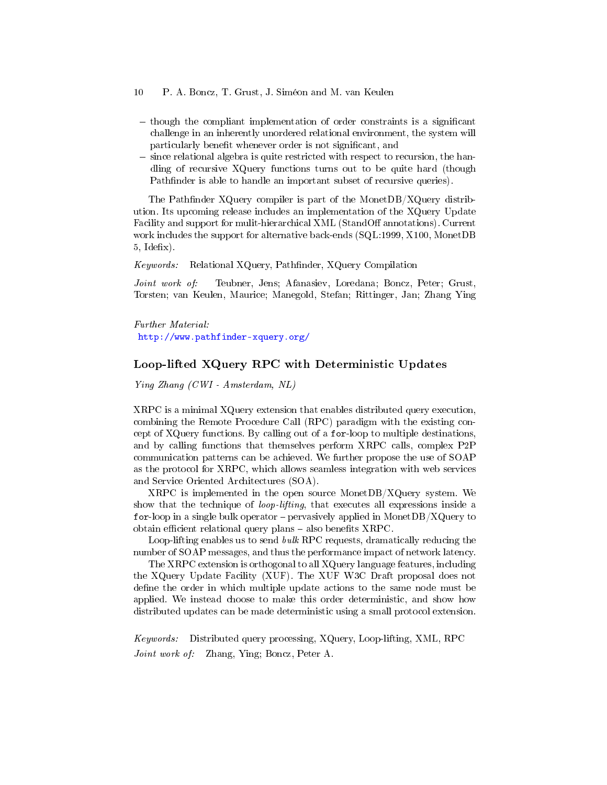- 10 P. A. Boncz, T. Grust, J. Siméon and M. van Keulen
- $-$  though the compliant implementation of order constraints is a significant challenge in an inherently unordered relational environment, the system will particularly benefit whenever order is not significant, and
- since relational algebra is quite restricted with respect to recursion, the handling of recursive XQuery functions turns out to be quite hard (though Pathfinder is able to handle an important subset of recursive queries).

The Pathfinder XQuery compiler is part of the MonetDB/XQuery distribution. Its upcoming release includes an implementation of the XQuery Update Facility and support for mulit-hierarchical XML (StandOff annotations). Current work includes the support for alternative back-ends (SQL:1999, X100, MonetDB  $5,$  Idefix).

Keywords: Relational XQuery, Pathfinder, XQuery Compilation

Joint work of: Teubner, Jens; Afanasiev, Loredana; Boncz, Peter; Grust, Torsten; van Keulen, Maurice; Manegold, Stefan; Rittinger, Jan; Zhang Ying

Further Material: <http://www.pathfinder-xquery.org/>

# Loop-lifted XQuery RPC with Deterministic Updates

Ying Zhang (CWI - Amsterdam, NL)

XRPC is a minimal XQuery extension that enables distributed query execution, combining the Remote Procedure Call (RPC) paradigm with the existing concept of XQuery functions. By calling out of a for-loop to multiple destinations, and by calling functions that themselves perform XRPC calls, complex P2P communication patterns can be achieved. We further propose the use of SOAP as the protocol for XRPC, which allows seamless integration with web services and Service Oriented Architectures (SOA).

XRPC is implemented in the open source MonetDB/XQuery system. We show that the technique of loop-lifting, that executes all expressions inside a for-loop in a single bulk operator  $-$  pervasively applied in MonetDB/XQuery to obtain efficient relational query plans  $-$  also benefits XRPC.

Loop-lifting enables us to send bulk RPC requests, dramatically reducing the number of SOAP messages, and thus the performance impact of network latency.

The XRPC extension is orthogonal to all XQuery language features, including the XQuery Update Facility (XUF). The XUF W3C Draft proposal does not define the order in which multiple update actions to the same node must be applied. We instead choose to make this order deterministic, and show how distributed updates can be made deterministic using a small protocol extension.

Keywords: Distributed query processing, XQuery, Loop-lifting, XML, RPC Joint work of: Zhang, Ying; Boncz, Peter A.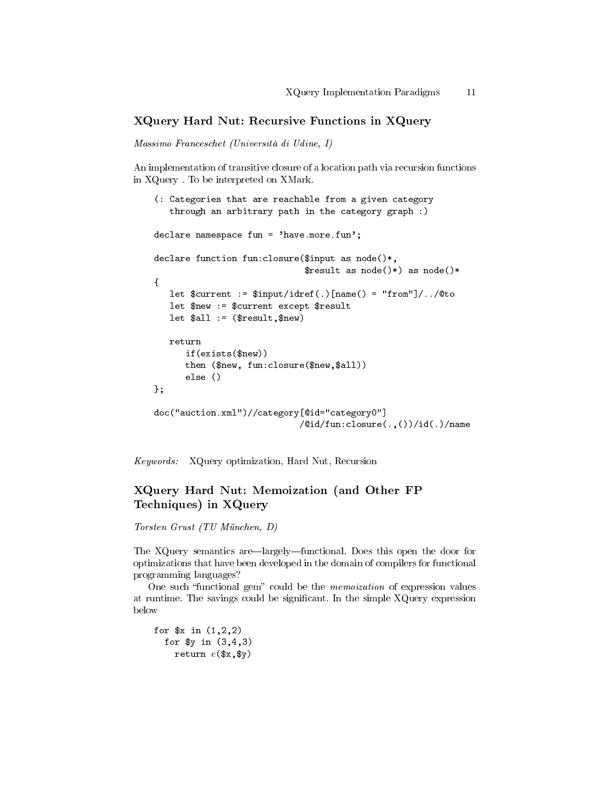# XQuery Hard Nut: Recursive Functions in XQuery

Massimo Franceschet (Università di Udine, I)

An implementation of transitive closure of a location path via recursion functions in XQuery . To be interpreted on XMark.

```
(: Categories that are reachable from a given category
  through an arbitrary path in the category graph :)
declare namespace fun = 'have.more.fun';
declare function fun:closure($input as node()*,
                             $result as node()*) as node()*
{
  let $current := $input/idref(.)[name() = "from"]/../@to
  let $new := $current except $result
  let $all := ($result,$new)
  return
     if(exists($new))
     then ($new, fun:closure($new,$all))
      else ()
};
doc("auction.xml")//category[@id="category0"]
                            /@id/fun:closure(.,())/id(.)/name
```
Keywords: XQuery optimization, Hard Nut, Recursion

# XQuery Hard Nut: Memoization (and Other FP Techniques) in XQuery

Torsten Grust (TU München, D)

The XQuery semantics are—largely—functional. Does this open the door for optimizations that have been developed in the domain of compilers for functional programming languages?

One such "functional gem" could be the *memoization* of expression values at runtime. The savings could be significant. In the simple XQuery expression below

for  $x \in (1,2,2)$ for \$y in (3,4,3) return  $e$ (\$x,\$y)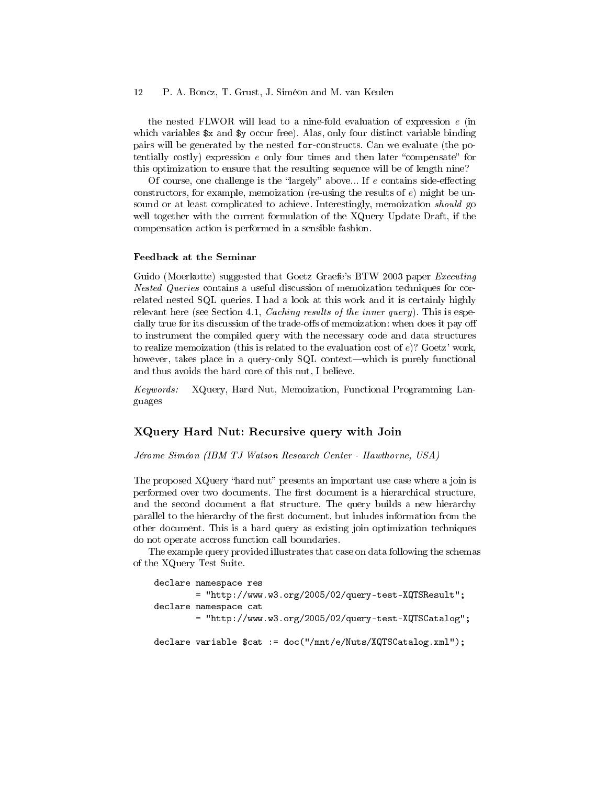the nested FLWOR will lead to a nine-fold evaluation of expression e (in which variables  $x$  and  $y$  occur free). Alas, only four distinct variable binding pairs will be generated by the nested for-constructs. Can we evaluate (the potentially costly) expression  $e$  only four times and then later "compensate" for this optimization to ensure that the resulting sequence will be of length nine?

Of course, one challenge is the "largely" above... If  $e$  contains side-effecting constructors, for example, memoization (re-using the results of  $e$ ) might be unsound or at least complicated to achieve. Interestingly, memoization *should* go well together with the current formulation of the XQuery Update Draft, if the compensation action is performed in a sensible fashion.

#### Feedback at the Seminar

Guido (Moerkotte) suggested that Goetz Graefe's BTW 2003 paper Executing Nested Queries contains a useful discussion of memoization techniques for correlated nested SQL queries. I had a look at this work and it is certainly highly relevant here (see Section 4.1, *Caching results of the inner query*). This is especially true for its discussion of the trade-offs of memoization: when does it pay off to instrument the compiled query with the necessary code and data structures to realize memoization (this is related to the evaluation cost of  $e$ )? Goetz' work, however, takes place in a query-only SQL context—which is purely functional and thus avoids the hard core of this nut, I believe.

Keywords: XQuery, Hard Nut, Memoization, Functional Programming Languages

#### XQuery Hard Nut: Recursive query with Join

Jérome Siméon (IBM TJ Watson Research Center - Hawthorne, USA)

The proposed XQuery "hard nut" presents an important use case where a join is performed over two documents. The first document is a hierarchical structure, and the second document a flat structure. The query builds a new hierarchy parallel to the hierarchy of the first document, but inludes information from the other document. This is a hard query as existing join optimization techniques do not operate accross function call boundaries.

The example query provided illustrates that case on data following the schemas of the XQuery Test Suite.

```
declare namespace res
       = "http://www.w3.org/2005/02/query-test-XQTSResult";
declare namespace cat
       = "http://www.w3.org/2005/02/query-test-XQTSCatalog";
declare variable $cat := doc("/mnt/e/Nuts/XQTSCatalog.xml");
```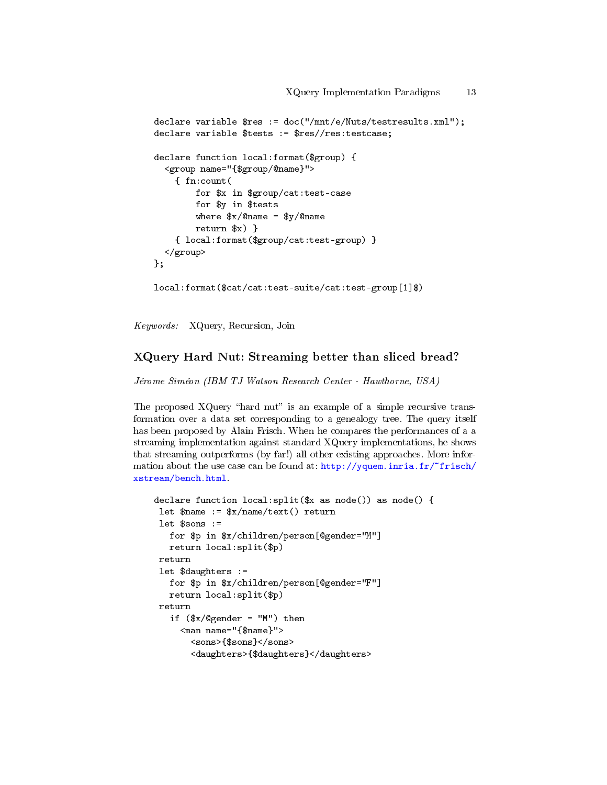```
declare variable $res := doc("/mnt/e/Nuts/testresults.xml");
declare variable $tests := $res//res:testcase;
declare function local:format($group) {
  <group name="{$group/@name}">
    { fn:count(
        for $x in $group/cat:test-case
        for $y in $tests
        where x/\text{Cname} = xy/\text{Cname}return $x) }
    { local:format($group/cat:test-group) }
  </group>
};
```
local:format(\$cat/cat:test-suite/cat:test-group[1]\$)

Keywords: XQuery, Recursion, Join

### XQuery Hard Nut: Streaming better than sliced bread?

Jérome Siméon (IBM TJ Watson Research Center - Hawthorne, USA)

The proposed  $XQuery$  "hard nut" is an example of a simple recursive transformation over a data set corresponding to a genealogy tree. The query itself has been proposed by Alain Frisch. When he compares the performances of a a streaming implementation against standard XQuery implementations, he shows that streaming outperforms (by far!) all other existing approaches. More information about the use case can be found at: http://yquem.inria.fr/"frisch/ [xstream/bench.html.](http://yquem.inria.fr/~frisch/xstream/bench.html)

```
declare function local:split(x as node()) as node() {
 let \text{name} := \frac{\frac{\pi}{2}}{\frac{\pi}{2}} return
 let $sons :=
   for $p in $x/children/person[@gender="M"]
   return local:split($p)
return
 let $daughters :=
   for $p in $x/children/person[@gender="F"]
   return local:split($p)
return
   if ($x/{\theta}gender = "M") then
     <man name="{$name}">
       <sons>{$sons}</sons>
       <daughters>{$daughters}</daughters>
```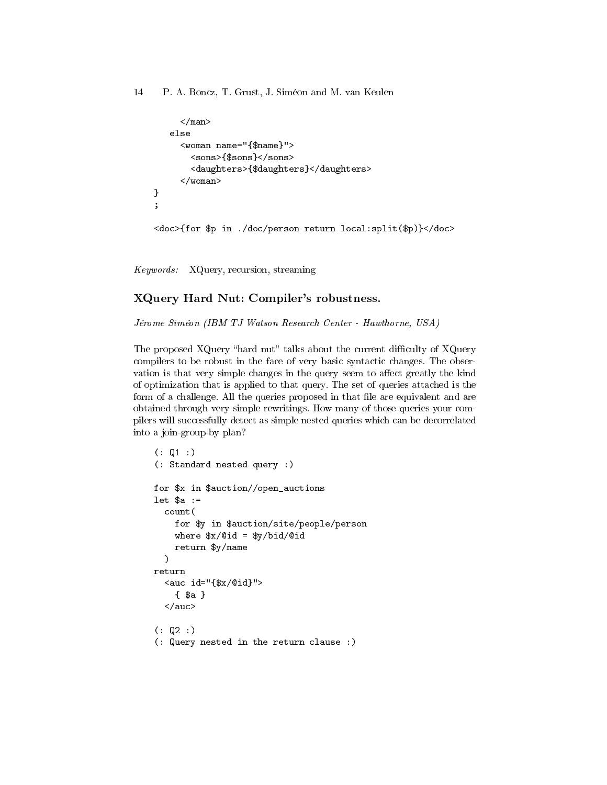```
\langle/man\rangleelse
     <woman name="{$name}">
       <sons>{$sons}</sons>
       <daughters>{$daughters}</daughters>
     </woman>
}
;
<doc>{for $p in ./doc/person return local:split($p)}</doc>
```
Keywords: XQuery, recursion, streaming

# XQuery Hard Nut: Compiler's robustness.

Jérome Siméon (IBM TJ Watson Research Center - Hawthorne, USA)

The proposed XQuery "hard nut" talks about the current difficulty of XQuery compilers to be robust in the face of very basic syntactic changes. The observation is that very simple changes in the query seem to affect greatly the kind of optimization that is applied to that query. The set of queries attached is the form of a challenge. All the queries proposed in that file are equivalent and are obtained through very simple rewritings. How many of those queries your compilers will successfully detect as simple nested queries which can be decorrelated into a join-group-by plan?

```
( : Q1 : )(: Standard nested query :)
for $x in $auction//open_auctions
let a :=count(
   for $y in $auction/site/people/person
   where $x/@id = $y/bid/@id
   return $y/name
 \lambdareturn
  <auc id="{$x/@id}">
    { $a }
  </auc>
(: Q2 :)(: Query nested in the return clause :)
```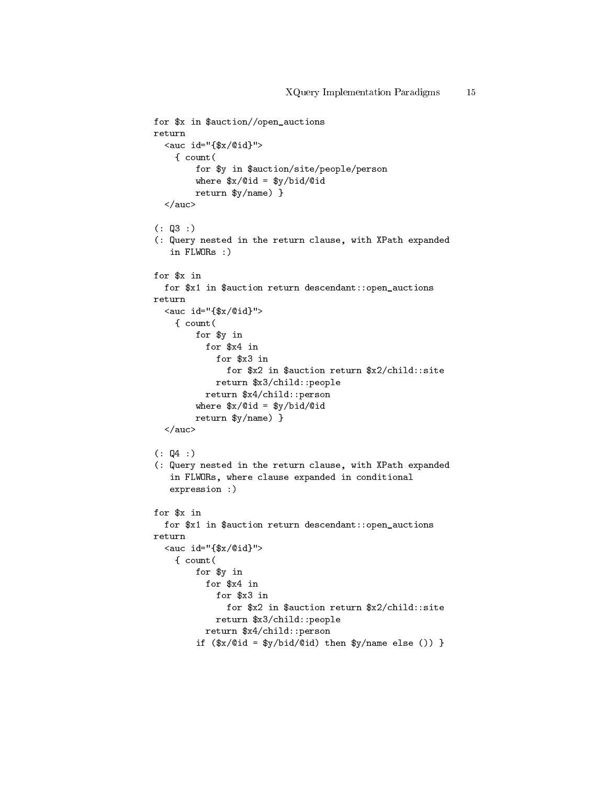```
for $x in $auction//open_auctions
return
  <\!\!\operatorname{auc}\!\!\operatorname{id}=\!\!\operatorname{``}\{\$\mathrm{x}/\mathbb{Q}\mathrm{id}\} \text{\textbf{''}}\!>{ count(
         for $y in $auction/site/people/person
         where x/\text{Cid} = x/\text{Cid}/\text{Cid}return $y/name) }
  </auc>
( : \, \mathbb{Q}3 : )(: Query nested in the return clause, with XPath expanded
   in FLWORs :)
for $x in
  for $x1 in $auction return descendant::open_auctions
return
  <auc id="{$x/@id}">
    { count(
         for $y in
            for $x4 in
              for $x3 in
                for $x2 in $auction return $x2/child::site
              return $x3/child::people
            return $x4/child::person
         where x/\text{Cid} = x/\text{Cid}/\text{Cid}return $y/name) }
  </auc>
( : 04 : )(: Query nested in the return clause, with XPath expanded
   in FLWORs, where clause expanded in conditional
   expression :)
for $x in
  for $x1 in $auction return descendant::open_auctions
return
  \langle \text{auc id} = "{\ x}{\langle 0id} \rangle"
    { count(
         for $y in
            for $x4 in
              for $x3 in
                 for $x2 in $auction return $x2/child::site
              return $x3/child::people
            return $x4/child::person
         if ($x/@id = $y/bid/@id) then y/name else ()) }
```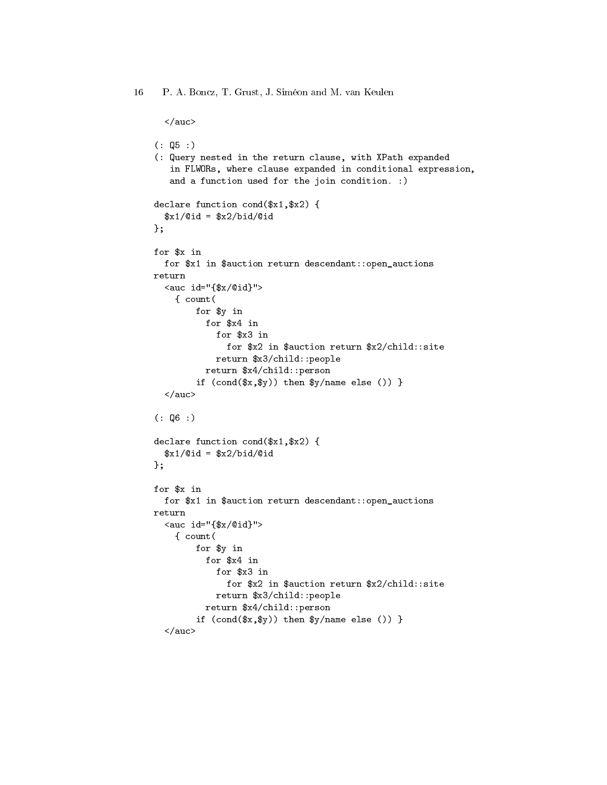```
</auc>
( : \, \mathbb{Q}5 : )(: Query nested in the return clause, with XPath expanded
   in FLWORs, where clause expanded in conditional expression,
   and a function used for the join condition. :)
declare function cond($x1,$x2) {
  $x1/@id = $x2/bid/Qid};
for $x in
 for $x1 in $auction return descendant::open_auctions
return
  <auc id="{$x/@id}">
    { count(
        for $y in
          for $x4 in
            for $x3 in
              for $x2 in $auction return $x2/child::site
            return $x3/child::people
          return $x4/child::person
        if (\text{cond}(\$x,\$y)) then \$y/name else ()) }
  </auc>
(:  Q6 :)declare function cond($x1,$x2) {
  $x1/@id = $x2/bid/@id};
for $x in
 for $x1 in $auction return descendant::open_auctions
return
  <auc id="{$x/@id}">
    { count(
        for $y in
          for $x4 in
            for $x3 in
              for $x2 in $auction return $x2/child::site
            return $x3/child::people
          return $x4/child::person
        if (cond(\$x, \$y)) then $y/name else ()) }
  </auc>
```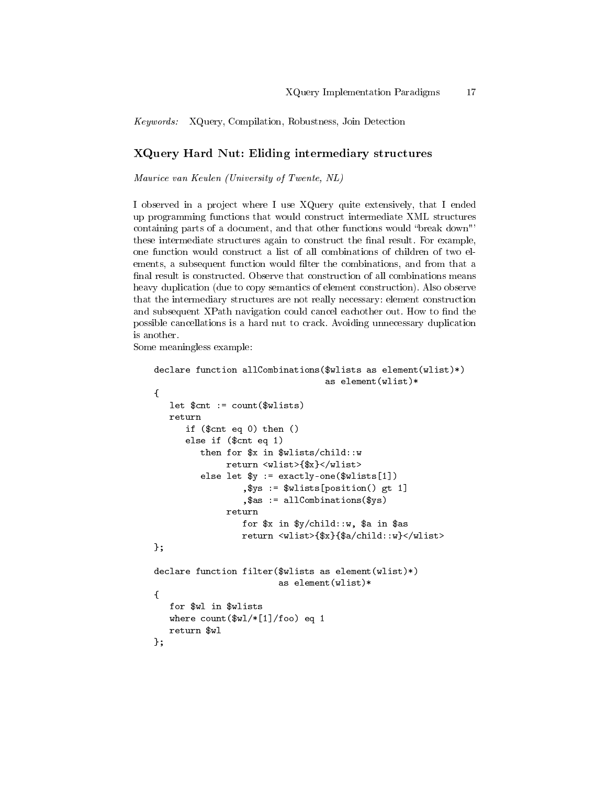Keywords: XQuery, Compilation, Robustness, Join Detection

# XQuery Hard Nut: Eliding intermediary structures

Maurice van Keulen (University of Twente, NL)

I observed in a project where I use XQuery quite extensively, that I ended up programming functions that would construct intermediate XML structures containing parts of a document, and that other functions would "break down"' these intermediate structures again to construct the final result. For example, one function would construct a list of all combinations of children of two elements, a subsequent function would filter the combinations, and from that a final result is constructed. Observe that construction of all combinations means heavy duplication (due to copy semantics of element construction). Also observe that the intermediary structures are not really necessary: element construction and subsequent XPath navigation could cancel eachother out. How to find the possible cancellations is a hard nut to crack. Avoiding unnecessary duplication is another.

Some meaningless example:

```
declare function allCombinations($wlists as element(wlist)*)
                                 as element(wlist)*
{
  let $cnt := count($wlists)
  return
      if ($cnt eq 0) then ()
      else if ($cnt eq 1)
         then for $x in $wlists/child::w
              return <wlist>{$x}</wlist>
         else let $y := exactly-one($wlists[1])
                 ,$ys := $wlists[position() gt 1]
                 ,$as := allCombinations($ys)
              return
                 for $x in $y/child::w, $a in $as
                 return <wlist>{$x}{$a/child::w}</wlist>
};
declare function filter($wlists as element(wlist)*)
                        as element(wlist)*
{
  for $wl in $wlists
  where count($wl/*[1]/foo) eq 1
  return $wl
};
```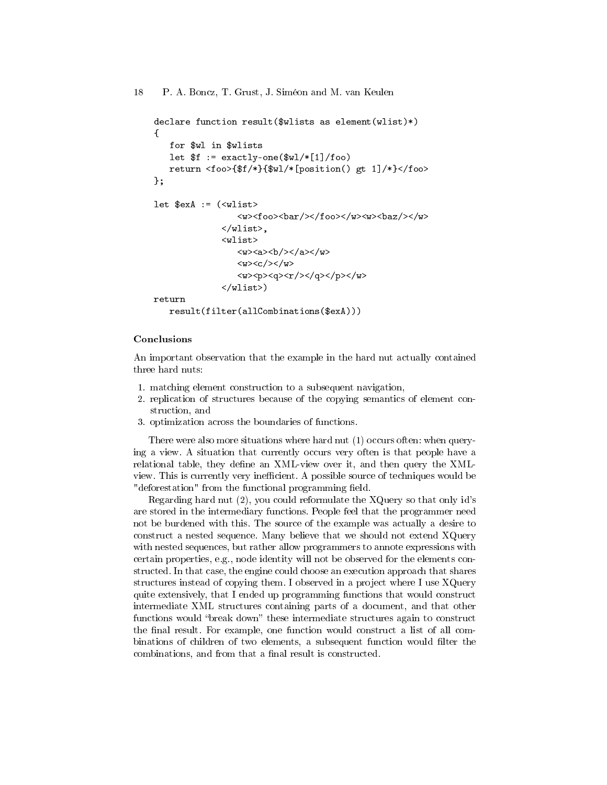```
declare function result($wlists as element(wlist)*)
{
    for $wl in $wlists
    let f := exactly-one(\frac{w1}{*}[1]/foo)return <foo>{$f/*}{$wl/*[position() gt 1]/*}</foo>
};
let sexA := (\langle \text{wlist} \rangle)\langle w \rangle<foo>\langle bar/>\langle foo>\langle w \rangle\langle w \rangle\langle w \rangle</wlist>,
                    <wlist>
                         \langle w \rangle <a><br/> \langle b / \rangle </a> </a> </w>
                         \langle w \rangle \langle c \rangle / \langle w \rangle<\>w><p><q><q><r/>></math>q><p><p><w></wlist>)
return
    result(filter(allCombinations($exA)))
```
#### Conclusions

An important observation that the example in the hard nut actually contained three hard nuts:

- 1. matching element construction to a subsequent navigation,
- 2. replication of structures because of the copying semantics of element construction, and
- 3. optimization across the boundaries of functions.

There were also more situations where hard nut (1) occurs often: when querying a view. A situation that currently occurs very often is that people have a relational table, they define an XML-view over it, and then query the XMLview. This is currently very inecient. A possible source of techniques would be "deforestation" from the functional programming field.

Regarding hard nut (2), you could reformulate the XQuery so that only id's are stored in the intermediary functions. People feel that the programmer need not be burdened with this. The source of the example was actually a desire to construct a nested sequence. Many believe that we should not extend XQuery with nested sequences, but rather allow programmers to annote expressions with certain properties, e.g., node identity will not be observed for the elements constructed. In that case, the engine could choose an execution approach that shares structures instead of copying them. I observed in a project where I use XQuery quite extensively, that I ended up programming functions that would construct intermediate XML structures containing parts of a document, and that other functions would "break down" these intermediate structures again to construct the final result. For example, one function would construct a list of all combinations of children of two elements, a subsequent function would filter the combinations, and from that a final result is constructed.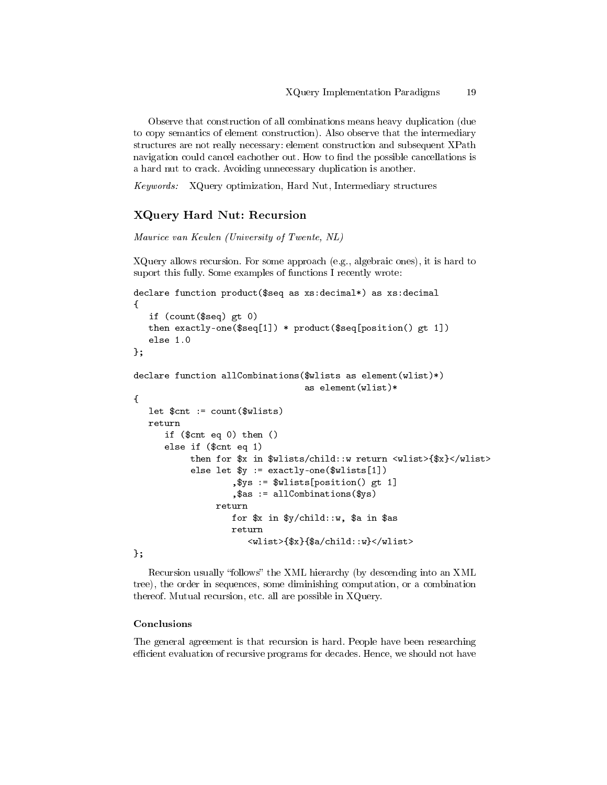Observe that construction of all combinations means heavy duplication (due to copy semantics of element construction). Also observe that the intermediary structures are not really necessary: element construction and subsequent XPath navigation could cancel eachother out. How to find the possible cancellations is a hard nut to crack. Avoiding unnecessary duplication is another.

Keywords: XQuery optimization, Hard Nut, Intermediary structures

### XQuery Hard Nut: Recursion

Maurice van Keulen (University of Twente, NL)

XQuery allows recursion. For some approach (e.g., algebraic ones), it is hard to suport this fully. Some examples of functions I recently wrote:

```
declare function product($seq as xs:decimal*) as xs:decimal
{
   if (count($seq) gt 0)
  then exactly-one($seq[1]) * product($seq[position() gt 1])
   else 1.0
};
declare function allCombinations($wlists as element(wlist)*)
                                  as element(wlist)*
{
  let $cnt := count($wlists)
  return
      if ($cnt eq 0) then ()
      else if ($cnt eq 1)
           then for $x in $wlists/child::w return <wlist>{$x}</wlist>
           else let y := exactly-one(\text{wlists}[1]),$ys := $wlists[position() gt 1]
                   ,$as := allCombinations($ys)
                return
                   for $x in $y/child::w, $a in $as
                   return
                       <wlist>{$x}{$a/child::w}</wlist>
};
```
Recursion usually "follows" the XML hierarchy (by descending into an XML tree), the order in sequences, some diminishing computation, or a combination thereof. Mutual recursion, etc. all are possible in XQuery.

#### Conclusions

The general agreement is that recursion is hard. People have been researching efficient evaluation of recursive programs for decades. Hence, we should not have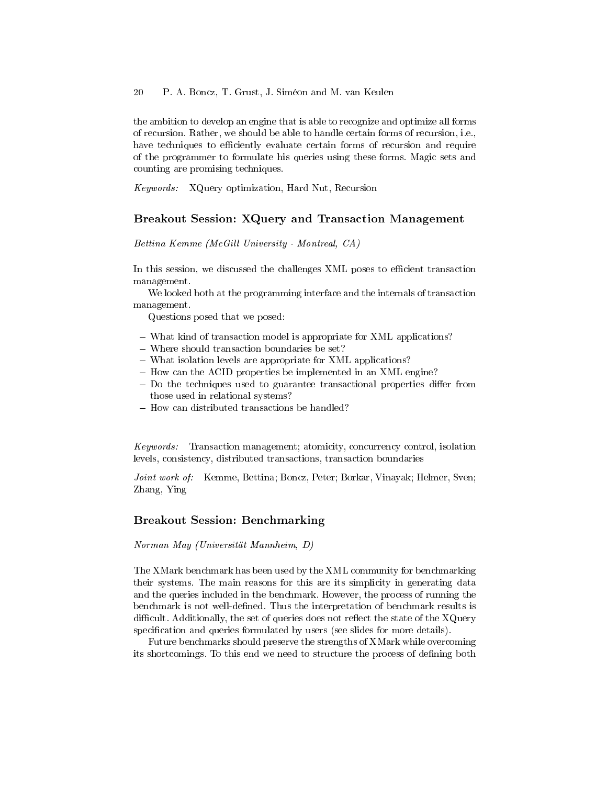the ambition to develop an engine that is able to recognize and optimize all forms of recursion. Rather, we should be able to handle certain forms of recursion, i.e., have techniques to efficiently evaluate certain forms of recursion and require of the programmer to formulate his queries using these forms. Magic sets and counting are promising techniques.

Keywords: XQuery optimization, Hard Nut, Recursion

### Breakout Session: XQuery and Transaction Management

Bettina Kemme (McGill University - Montreal, CA)

In this session, we discussed the challenges XML poses to efficient transaction management.

We looked both at the programming interface and the internals of transaction management.

Questions posed that we posed:

- What kind of transaction model is appropriate for XML applications?
- Where should transaction boundaries be set?
- What isolation levels are appropriate for XML applications?
- $-$  How can the ACID properties be implemented in an XML engine?
- $-$  Do the techniques used to guarantee transactional properties differ from those used in relational systems?
- How can distributed transactions be handled?

Keywords: Transaction management; atomicity, concurrency control, isolation levels, consistency, distributed transactions, transaction boundaries

Joint work of: Kemme, Bettina; Boncz, Peter; Borkar, Vinayak; Helmer, Sven; Zhang, Ying

### Breakout Session: Benchmarking

Norman May (Universität Mannheim, D)

The XMark benchmark has been used by the XML community for benchmarking their systems. The main reasons for this are its simplicity in generating data and the queries included in the benchmark. However, the process of running the benchmark is not well-defined. Thus the interpretation of benchmark results is difficult. Additionally, the set of queries does not reflect the state of the  $XQuery$ specification and queries formulated by users (see slides for more details).

Future benchmarks should preserve the strengths of XMark while overcoming its shortcomings. To this end we need to structure the process of dening both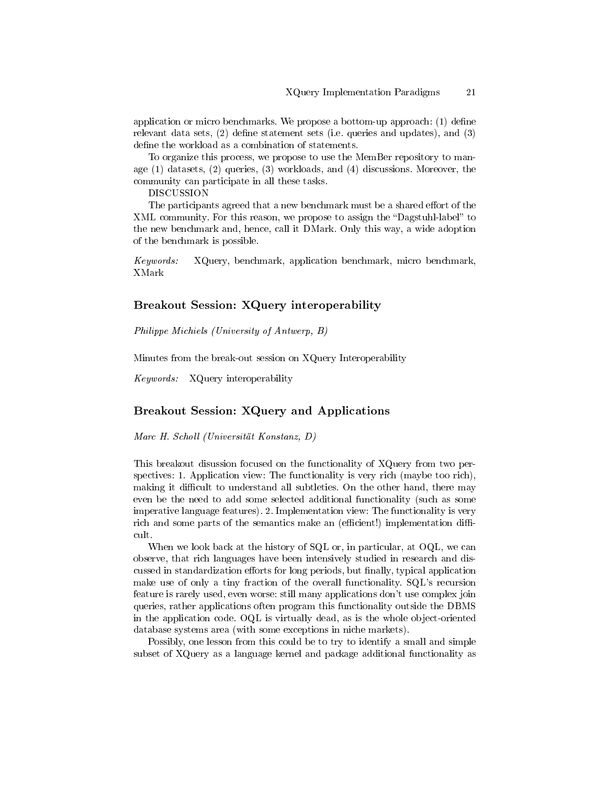application or micro benchmarks. We propose a bottom-up approach:  $(1)$  define relevant data sets,  $(2)$  define statement sets (i.e. queries and updates), and  $(3)$ define the workload as a combination of statements.

To organize this process, we propose to use the MemBer repository to manage (1) datasets, (2) queries, (3) workloads, and (4) discussions. Moreover, the community can participate in all these tasks.

DISCUSSION

The participants agreed that a new benchmark must be a shared effort of the XML community. For this reason, we propose to assign the "Dagstuhl-label" to the new benchmark and, hence, call it DMark. Only this way, a wide adoption of the benchmark is possible.

Keywords: XQuery, benchmark, application benchmark, micro benchmark, XMark

### Breakout Session: XQuery interoperability

Philippe Michiels (University of Antwerp, B)

Minutes from the break-out session on XQuery Interoperability

Keywords: XQuery interoperability

### Breakout Session: XQuery and Applications

Marc H. Scholl (Universität Konstanz, D)

This breakout disussion focused on the functionality of XQuery from two perspectives: 1. Application view: The functionality is very rich (maybe too rich), making it difficult to understand all subtleties. On the other hand, there may even be the need to add some selected additional functionality (such as some imperative language features). 2. Implementation view: The functionality is very rich and some parts of the semantics make an (efficient!) implementation difficult.

When we look back at the history of SQL or, in particular, at OQL, we can observe, that rich languages have been intensively studied in research and discussed in standardization efforts for long periods, but finally, typical application make use of only a tiny fraction of the overall functionality. SQL's recursion feature is rarely used, even worse: still many applications don't use complex join queries, rather applications often program this functionality outside the DBMS in the application code. OQL is virtually dead, as is the whole object-oriented database systems area (with some exceptions in niche markets).

Possibly, one lesson from this could be to try to identify a small and simple subset of XQuery as a language kernel and package additional functionality as